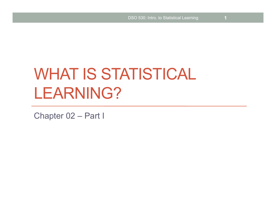# WHAT IS STATISTICAL LEARNING?

Chapter 02 – Part I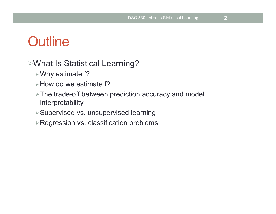- $\triangleright$  Why estimate f?
- $\triangleright$  How do we estimate f?
- $\triangleright$  The trade-off between prediction accuracy and model interpretability
- ØSupervised vs. unsupervised learning
- $\triangleright$  Regression vs. classification problems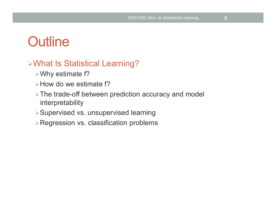- $\triangleright$  Why estimate f?
- $\triangleright$  How do we estimate f?
- $\triangleright$  The trade-off between prediction accuracy and model interpretability
- ØSupervised vs. unsupervised learning
- $\triangleright$  Regression vs. classification problems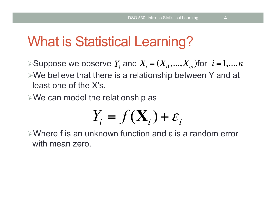# What is Statistical Learning?

 $\triangleright$  Suppose we observe  $Y_i$  and  $X_i = (X_{i1},..., X_{ip})$  for  $i = 1,..., n$ 

 $\triangleright$  We believe that there is a relationship between Y and at least one of the X's.

 $\triangleright$ We can model the relationship as

$$
Y_i = f(\mathbf{X}_i) + \varepsilon_i
$$

 $\triangleright$ Where f is an unknown function and  $\epsilon$  is a random error with mean zero.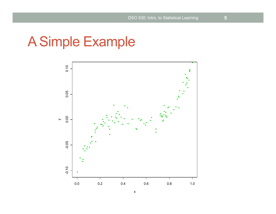# A Simple Example

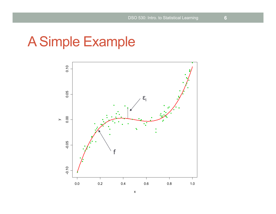# A Simple Example



x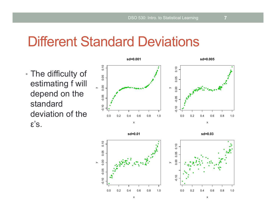## Different Standard Deviations

• The difficulty of estimating f will depend on the standard deviation of the ε's.



**sd=0.01**

**sd=0.03**

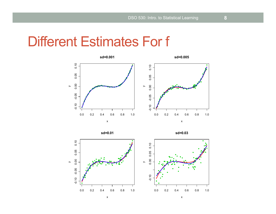## Different Estimates For f





**sd=0.03**

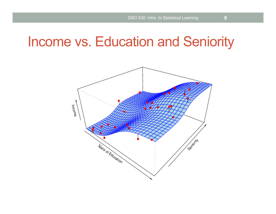## Income vs. Education and Seniority

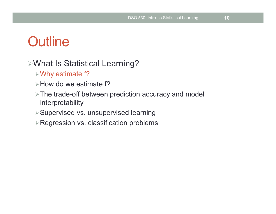- $\triangleright$  Why estimate f?
- $\triangleright$  How do we estimate f?
- $\triangleright$  The trade-off between prediction accuracy and model interpretability
- ØSupervised vs. unsupervised learning
- $\triangleright$  Regression vs. classification problems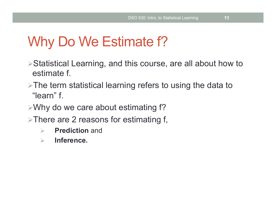# Why Do We Estimate f?

- ØStatistical Learning, and this course, are all about how to estimate f.
- $\triangleright$ The term statistical learning refers to using the data to "learn" f.
- $\triangleright$  Why do we care about estimating f?
- $\triangleright$  There are 2 reasons for estimating f,
	- Ø **Prediction** and
	- Ø **Inference.**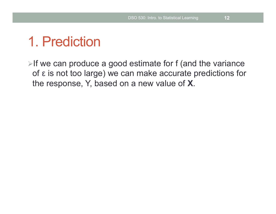# 1. Prediction

 $\triangleright$  If we can produce a good estimate for f (and the variance of ε is not too large) we can make accurate predictions for the response, Y, based on a new value of **X**.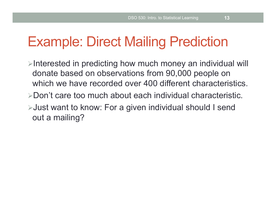## Example: Direct Mailing Prediction

- $\triangleright$ Interested in predicting how much money an individual will donate based on observations from 90,000 people on which we have recorded over 400 different characteristics.
- ØDon't care too much about each individual characteristic.
- ØJust want to know: For a given individual should I send out a mailing?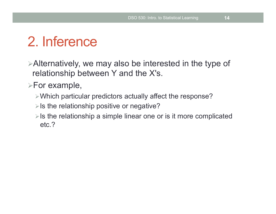# 2. Inference

 $\triangleright$  Alternatively, we may also be interested in the type of relationship between Y and the X's.

 $\triangleright$  For example,

- $\triangleright$  Which particular predictors actually affect the response?
- $\triangleright$  Is the relationship positive or negative?
- $\triangleright$  Is the relationship a simple linear one or is it more complicated etc.?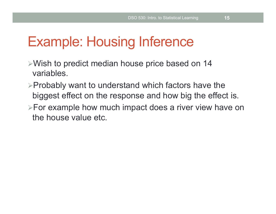## Example: Housing Inference

- $\triangleright$  Wish to predict median house price based on 14 variables.
- $\triangleright$  Probably want to understand which factors have the biggest effect on the response and how big the effect is.
- $\triangleright$  For example how much impact does a river view have on the house value etc.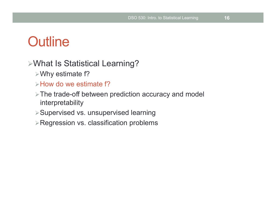- $\triangleright$  Why estimate f?
- $\triangleright$  How do we estimate f?
- $\triangleright$  The trade-off between prediction accuracy and model interpretability
- ØSupervised vs. unsupervised learning
- $\triangleright$  Regression vs. classification problems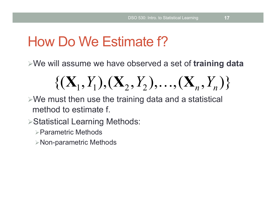# How Do We Estimate f?

ØWe will assume we have observed a set of **training data** 

$$
\{(\mathbf{X}_1, Y_1), (\mathbf{X}_2, Y_2), \ldots, (\mathbf{X}_n, Y_n)\}
$$

 $\triangleright$ We must then use the training data and a statistical method to estimate f.

**≻Statistical Learning Methods:** 

 $\triangleright$  Parametric Methods

 $\triangleright$  Non-parametric Methods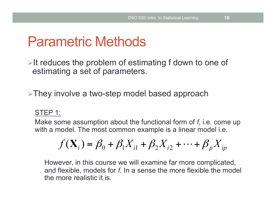## Parametric Methods

 $\triangleright$ It reduces the problem of estimating f down to one of estimating a set of parameters.

 $\triangleright$ They involve a two-step model based approach

#### STEP 1:

Make some assumption about the functional form of *f*, i.e. come up with a model. The most common example is a linear model i.e.

$$
f(\mathbf{X}_i) = \beta_0 + \beta_1 X_{i1} + \beta_2 X_{i2} + \dots + \beta_p X_{ip}
$$

However, in this course we will examine far more complicated, and flexible, models for *f*. In a sense the more flexible the model the more realistic it is.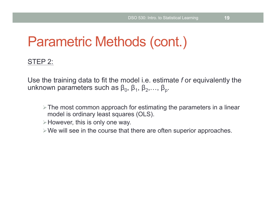# Parametric Methods (cont.)

#### STEP 2:

Use the training data to fit the model i.e. estimate *f* or equivalently the unknown parameters such as  $\beta_0$ ,  $\beta_1$ ,  $\beta_2$ ,...,  $\beta_p$ .

- $\triangleright$  The most common approach for estimating the parameters in a linear model is ordinary least squares (OLS).
- $\triangleright$  However, this is only one way.
- $\triangleright$  We will see in the course that there are often superior approaches.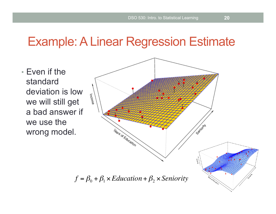### Example: A Linear Regression Estimate

• Even if the standard deviation is low we will still get a bad answer if we use the wrong model.

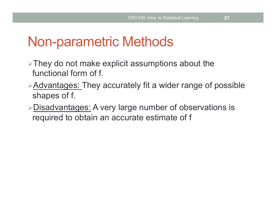## Non-parametric Methods

- $\triangleright$ They do not make explicit assumptions about the functional form of f.
- $\triangleright$  Advantages: They accurately fit a wider range of possible shapes of f.
- $\triangleright$ Disadvantages: A very large number of observations is required to obtain an accurate estimate of f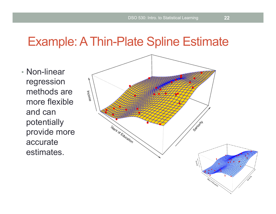### Example: A Thin-Plate Spline Estimate

• Non-linear regression methods are more flexible and can potentially provide more accurate estimates.

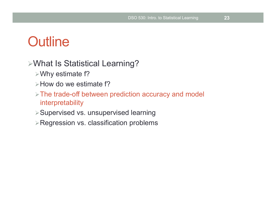- $\triangleright$  Why estimate f?
- $\triangleright$  How do we estimate f?
- $\triangleright$  The trade-off between prediction accuracy and model interpretability
- ØSupervised vs. unsupervised learning
- $\triangleright$  Regression vs. classification problems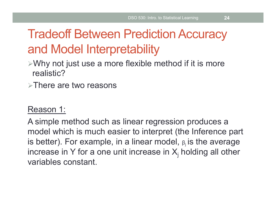# Tradeoff Between Prediction Accuracy and Model Interpretability

- $\triangleright$ Why not just use a more flexible method if it is more realistic?
- $\triangleright$  There are two reasons

### Reason 1:

A simple method such as linear regression produces a model which is much easier to interpret (the Inference part is better). For example, in a linear model,  $\beta$  is the average increase in Y for a one unit increase in  $X_j$  holding all other variables constant.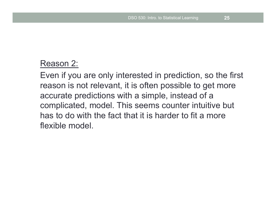### Reason 2:

Even if you are only interested in prediction, so the first reason is not relevant, it is often possible to get more accurate predictions with a simple, instead of a complicated, model. This seems counter intuitive but has to do with the fact that it is harder to fit a more flexible model.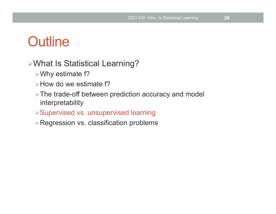- $\triangleright$  Why estimate f?
- $\triangleright$  How do we estimate f?
- $\triangleright$  The trade-off between prediction accuracy and model interpretability
- ØSupervised vs. unsupervised learning
- $\triangleright$  Regression vs. classification problems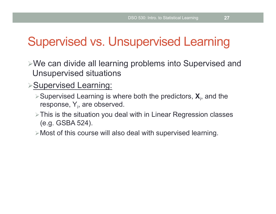## Supervised vs. Unsupervised Learning

- $\triangleright$ We can divide all learning problems into Supervised and Unsupervised situations
- **≻Supervised Learning:** 
	- ▶ Supervised Learning is where both the predictors,  $X_i$ , and the response, Y<sub>i</sub>, are observed.
	- $\triangleright$  This is the situation you deal with in Linear Regression classes (e.g. GSBA 524).
	- $\triangleright$  Most of this course will also deal with supervised learning.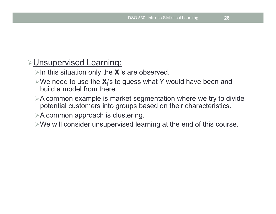### **EUnsupervised Learning:**

- $\triangleright$ In this situation only the  $X_i$ 's are observed.
- >We need to use the  $X_i$ 's to guess what Y would have been and build a model from there.
- $\triangleright$  A common example is market segmentation where we try to divide potential customers into groups based on their characteristics.
- $\triangleright$  A common approach is clustering.
- $\triangleright$  We will consider unsupervised learning at the end of this course.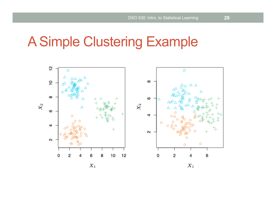# A Simple Clustering Example

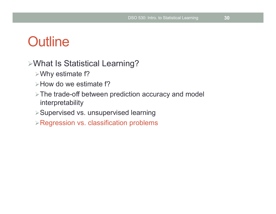- $\triangleright$  Why estimate f?
- $\triangleright$  How do we estimate f?
- $\triangleright$  The trade-off between prediction accuracy and model interpretability
- ØSupervised vs. unsupervised learning
- $\triangleright$  Regression vs. classification problems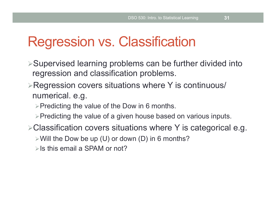# Regression vs. Classification

- $\triangleright$  Supervised learning problems can be further divided into regression and classification problems.
- $\triangleright$  Regression covers situations where Y is continuous/ numerical. e.g.
	- $\triangleright$  Predicting the value of the Dow in 6 months.
	- $\triangleright$  Predicting the value of a given house based on various inputs.
- $\triangleright$  Classification covers situations where Y is categorical e.g.
	- $\triangleright$  Will the Dow be up (U) or down (D) in 6 months?
	- $\triangleright$  Is this email a SPAM or not?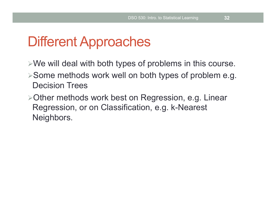# Different Approaches

- $\triangleright$ We will deal with both types of problems in this course.
- $\triangleright$  Some methods work well on both types of problem e.g. Decision Trees
- ØOther methods work best on Regression, e.g. Linear Regression, or on Classification, e.g. k-Nearest Neighbors.